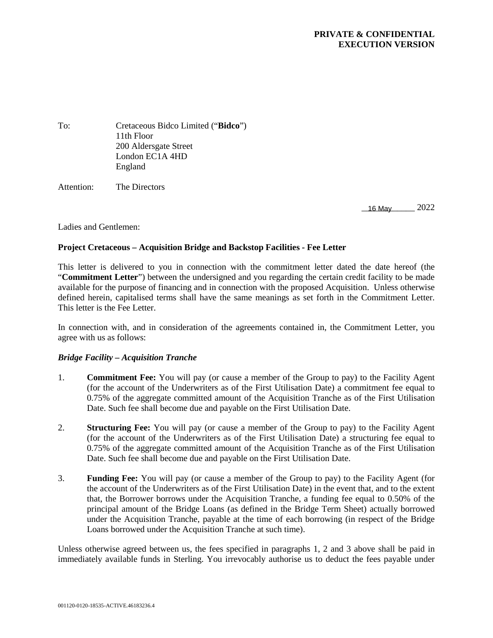### **PRIVATE & CONFIDENTIAL EXECUTION VERSION**

To: Cretaceous Bidco Limited ("**Bidco**") 11th Floor 200 Aldersgate Street London EC1A 4HD England Attention: The Directors

16 May 2022

Ladies and Gentlemen:

#### **Project Cretaceous – Acquisition Bridge and Backstop Facilities - Fee Letter**

This letter is delivered to you in connection with the commitment letter dated the date hereof (the "**Commitment Letter**") between the undersigned and you regarding the certain credit facility to be made available for the purpose of financing and in connection with the proposed Acquisition. Unless otherwise defined herein, capitalised terms shall have the same meanings as set forth in the Commitment Letter. This letter is the Fee Letter.

In connection with, and in consideration of the agreements contained in, the Commitment Letter, you agree with us as follows:

#### *Bridge Facility – Acquisition Tranche*

- 1. **Commitment Fee:** You will pay (or cause a member of the Group to pay) to the Facility Agent (for the account of the Underwriters as of the First Utilisation Date) a commitment fee equal to 0.75% of the aggregate committed amount of the Acquisition Tranche as of the First Utilisation Date. Such fee shall become due and payable on the First Utilisation Date.
- 2. **Structuring Fee:** You will pay (or cause a member of the Group to pay) to the Facility Agent (for the account of the Underwriters as of the First Utilisation Date) a structuring fee equal to 0.75% of the aggregate committed amount of the Acquisition Tranche as of the First Utilisation Date. Such fee shall become due and payable on the First Utilisation Date.
- 3. **Funding Fee:** You will pay (or cause a member of the Group to pay) to the Facility Agent (for the account of the Underwriters as of the First Utilisation Date) in the event that, and to the extent that, the Borrower borrows under the Acquisition Tranche, a funding fee equal to 0.50% of the principal amount of the Bridge Loans (as defined in the Bridge Term Sheet) actually borrowed under the Acquisition Tranche, payable at the time of each borrowing (in respect of the Bridge Loans borrowed under the Acquisition Tranche at such time).

Unless otherwise agreed between us, the fees specified in paragraphs 1, 2 and 3 above shall be paid in immediately available funds in Sterling. You irrevocably authorise us to deduct the fees payable under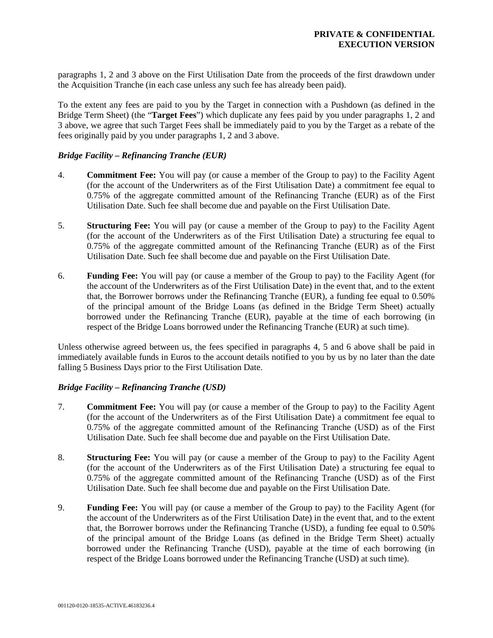paragraphs 1, 2 and 3 above on the First Utilisation Date from the proceeds of the first drawdown under the Acquisition Tranche (in each case unless any such fee has already been paid).

To the extent any fees are paid to you by the Target in connection with a Pushdown (as defined in the Bridge Term Sheet) (the "**Target Fees**") which duplicate any fees paid by you under paragraphs 1, 2 and 3 above, we agree that such Target Fees shall be immediately paid to you by the Target as a rebate of the fees originally paid by you under paragraphs 1, 2 and 3 above.

### *Bridge Facility – Refinancing Tranche (EUR)*

- 4. **Commitment Fee:** You will pay (or cause a member of the Group to pay) to the Facility Agent (for the account of the Underwriters as of the First Utilisation Date) a commitment fee equal to 0.75% of the aggregate committed amount of the Refinancing Tranche (EUR) as of the First Utilisation Date. Such fee shall become due and payable on the First Utilisation Date.
- 5. **Structuring Fee:** You will pay (or cause a member of the Group to pay) to the Facility Agent (for the account of the Underwriters as of the First Utilisation Date) a structuring fee equal to 0.75% of the aggregate committed amount of the Refinancing Tranche (EUR) as of the First Utilisation Date. Such fee shall become due and payable on the First Utilisation Date.
- 6. **Funding Fee:** You will pay (or cause a member of the Group to pay) to the Facility Agent (for the account of the Underwriters as of the First Utilisation Date) in the event that, and to the extent that, the Borrower borrows under the Refinancing Tranche (EUR), a funding fee equal to 0.50% of the principal amount of the Bridge Loans (as defined in the Bridge Term Sheet) actually borrowed under the Refinancing Tranche (EUR), payable at the time of each borrowing (in respect of the Bridge Loans borrowed under the Refinancing Tranche (EUR) at such time).

Unless otherwise agreed between us, the fees specified in paragraphs 4, 5 and 6 above shall be paid in immediately available funds in Euros to the account details notified to you by us by no later than the date falling 5 Business Days prior to the First Utilisation Date.

#### *Bridge Facility – Refinancing Tranche (USD)*

- 7. **Commitment Fee:** You will pay (or cause a member of the Group to pay) to the Facility Agent (for the account of the Underwriters as of the First Utilisation Date) a commitment fee equal to 0.75% of the aggregate committed amount of the Refinancing Tranche (USD) as of the First Utilisation Date. Such fee shall become due and payable on the First Utilisation Date.
- 8. **Structuring Fee:** You will pay (or cause a member of the Group to pay) to the Facility Agent (for the account of the Underwriters as of the First Utilisation Date) a structuring fee equal to 0.75% of the aggregate committed amount of the Refinancing Tranche (USD) as of the First Utilisation Date. Such fee shall become due and payable on the First Utilisation Date.
- 9. **Funding Fee:** You will pay (or cause a member of the Group to pay) to the Facility Agent (for the account of the Underwriters as of the First Utilisation Date) in the event that, and to the extent that, the Borrower borrows under the Refinancing Tranche (USD), a funding fee equal to 0.50% of the principal amount of the Bridge Loans (as defined in the Bridge Term Sheet) actually borrowed under the Refinancing Tranche (USD), payable at the time of each borrowing (in respect of the Bridge Loans borrowed under the Refinancing Tranche (USD) at such time).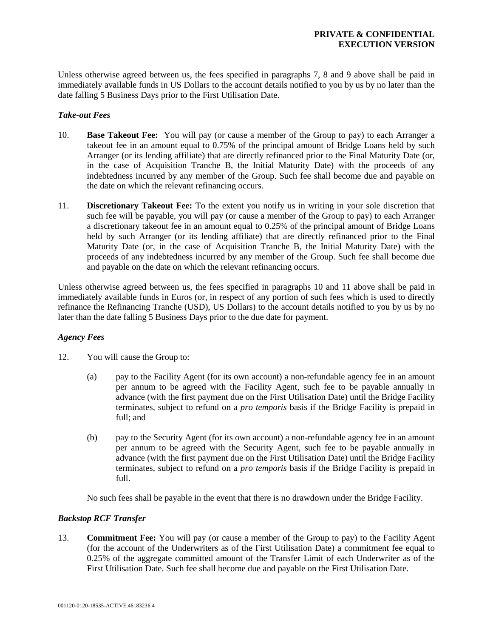Unless otherwise agreed between us, the fees specified in paragraphs 7, 8 and 9 above shall be paid in immediately available funds in US Dollars to the account details notified to you by us by no later than the date falling 5 Business Days prior to the First Utilisation Date.

#### *Take-out Fees*

- 10. **Base Takeout Fee:** You will pay (or cause a member of the Group to pay) to each Arranger a takeout fee in an amount equal to 0.75% of the principal amount of Bridge Loans held by such Arranger (or its lending affiliate) that are directly refinanced prior to the Final Maturity Date (or, in the case of Acquisition Tranche B, the Initial Maturity Date) with the proceeds of any indebtedness incurred by any member of the Group. Such fee shall become due and payable on the date on which the relevant refinancing occurs.
- 11. **Discretionary Takeout Fee:** To the extent you notify us in writing in your sole discretion that such fee will be payable, you will pay (or cause a member of the Group to pay) to each Arranger a discretionary takeout fee in an amount equal to 0.25% of the principal amount of Bridge Loans held by such Arranger (or its lending affiliate) that are directly refinanced prior to the Final Maturity Date (or, in the case of Acquisition Tranche B, the Initial Maturity Date) with the proceeds of any indebtedness incurred by any member of the Group. Such fee shall become due and payable on the date on which the relevant refinancing occurs.

Unless otherwise agreed between us, the fees specified in paragraphs 10 and 11 above shall be paid in immediately available funds in Euros (or, in respect of any portion of such fees which is used to directly refinance the Refinancing Tranche (USD), US Dollars) to the account details notified to you by us by no later than the date falling 5 Business Days prior to the due date for payment.

### *Agency Fees*

- 12. You will cause the Group to:
	- (a) pay to the Facility Agent (for its own account) a non-refundable agency fee in an amount per annum to be agreed with the Facility Agent, such fee to be payable annually in advance (with the first payment due on the First Utilisation Date) until the Bridge Facility terminates, subject to refund on a *pro temporis* basis if the Bridge Facility is prepaid in full; and
	- (b) pay to the Security Agent (for its own account) a non-refundable agency fee in an amount per annum to be agreed with the Security Agent, such fee to be payable annually in advance (with the first payment due on the First Utilisation Date) until the Bridge Facility terminates, subject to refund on a *pro temporis* basis if the Bridge Facility is prepaid in full.

No such fees shall be payable in the event that there is no drawdown under the Bridge Facility.

### *Backstop RCF Transfer*

13. **Commitment Fee:** You will pay (or cause a member of the Group to pay) to the Facility Agent (for the account of the Underwriters as of the First Utilisation Date) a commitment fee equal to 0.25% of the aggregate committed amount of the Transfer Limit of each Underwriter as of the First Utilisation Date. Such fee shall become due and payable on the First Utilisation Date.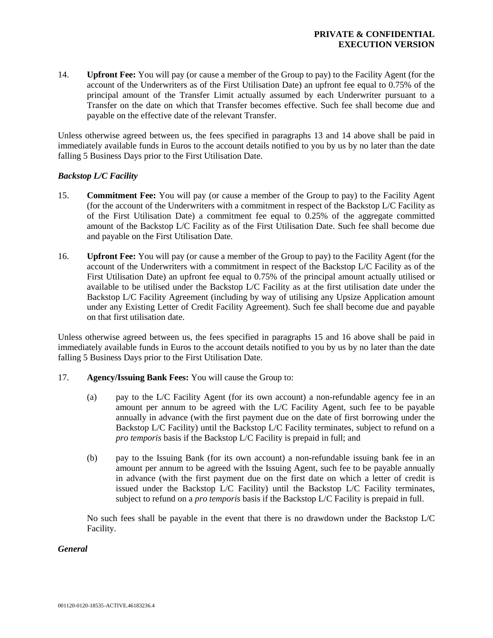14. **Upfront Fee:** You will pay (or cause a member of the Group to pay) to the Facility Agent (for the account of the Underwriters as of the First Utilisation Date) an upfront fee equal to 0.75% of the principal amount of the Transfer Limit actually assumed by each Underwriter pursuant to a Transfer on the date on which that Transfer becomes effective. Such fee shall become due and payable on the effective date of the relevant Transfer.

Unless otherwise agreed between us, the fees specified in paragraphs 13 and 14 above shall be paid in immediately available funds in Euros to the account details notified to you by us by no later than the date falling 5 Business Days prior to the First Utilisation Date.

### *Backstop L/C Facility*

- 15. **Commitment Fee:** You will pay (or cause a member of the Group to pay) to the Facility Agent (for the account of the Underwriters with a commitment in respect of the Backstop L/C Facility as of the First Utilisation Date) a commitment fee equal to 0.25% of the aggregate committed amount of the Backstop L/C Facility as of the First Utilisation Date. Such fee shall become due and payable on the First Utilisation Date.
- 16. **Upfront Fee:** You will pay (or cause a member of the Group to pay) to the Facility Agent (for the account of the Underwriters with a commitment in respect of the Backstop L/C Facility as of the First Utilisation Date) an upfront fee equal to 0.75% of the principal amount actually utilised or available to be utilised under the Backstop L/C Facility as at the first utilisation date under the Backstop L/C Facility Agreement (including by way of utilising any Upsize Application amount under any Existing Letter of Credit Facility Agreement). Such fee shall become due and payable on that first utilisation date.

Unless otherwise agreed between us, the fees specified in paragraphs 15 and 16 above shall be paid in immediately available funds in Euros to the account details notified to you by us by no later than the date falling 5 Business Days prior to the First Utilisation Date.

- 17. **Agency/Issuing Bank Fees:** You will cause the Group to:
	- (a) pay to the L/C Facility Agent (for its own account) a non-refundable agency fee in an amount per annum to be agreed with the L/C Facility Agent, such fee to be payable annually in advance (with the first payment due on the date of first borrowing under the Backstop L/C Facility) until the Backstop L/C Facility terminates, subject to refund on a *pro temporis* basis if the Backstop L/C Facility is prepaid in full; and
	- (b) pay to the Issuing Bank (for its own account) a non-refundable issuing bank fee in an amount per annum to be agreed with the Issuing Agent, such fee to be payable annually in advance (with the first payment due on the first date on which a letter of credit is issued under the Backstop L/C Facility) until the Backstop L/C Facility terminates, subject to refund on a *pro temporis* basis if the Backstop L/C Facility is prepaid in full.

No such fees shall be payable in the event that there is no drawdown under the Backstop L/C Facility.

### *General*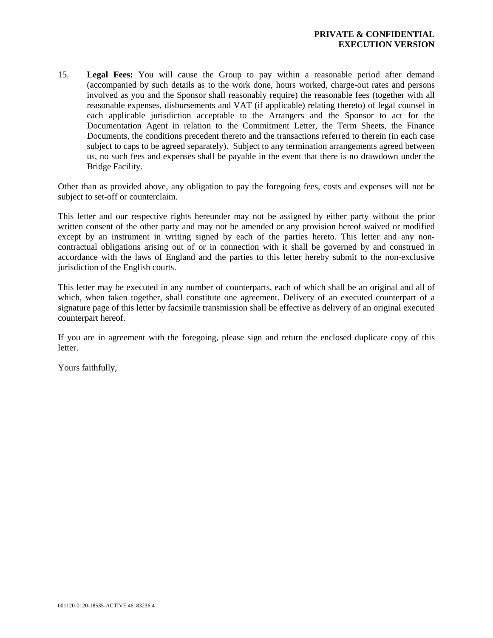15. **Legal Fees:** You will cause the Group to pay within a reasonable period after demand (accompanied by such details as to the work done, hours worked, charge-out rates and persons involved as you and the Sponsor shall reasonably require) the reasonable fees (together with all reasonable expenses, disbursements and VAT (if applicable) relating thereto) of legal counsel in each applicable jurisdiction acceptable to the Arrangers and the Sponsor to act for the Documentation Agent in relation to the Commitment Letter, the Term Sheets, the Finance Documents, the conditions precedent thereto and the transactions referred to therein (in each case subject to caps to be agreed separately). Subject to any termination arrangements agreed between us, no such fees and expenses shall be payable in the event that there is no drawdown under the Bridge Facility.

Other than as provided above, any obligation to pay the foregoing fees, costs and expenses will not be subject to set-off or counterclaim.

This letter and our respective rights hereunder may not be assigned by either party without the prior written consent of the other party and may not be amended or any provision hereof waived or modified except by an instrument in writing signed by each of the parties hereto. This letter and any noncontractual obligations arising out of or in connection with it shall be governed by and construed in accordance with the laws of England and the parties to this letter hereby submit to the non-exclusive jurisdiction of the English courts.

This letter may be executed in any number of counterparts, each of which shall be an original and all of which, when taken together, shall constitute one agreement. Delivery of an executed counterpart of a signature page of this letter by facsimile transmission shall be effective as delivery of an original executed counterpart hereof.

If you are in agreement with the foregoing, please sign and return the enclosed duplicate copy of this letter.

Yours faithfully,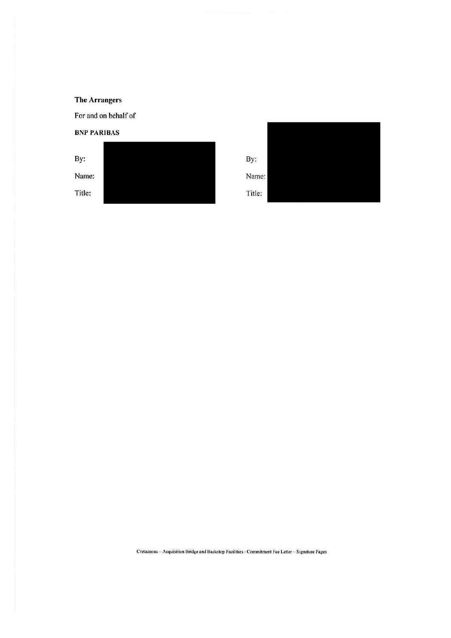For and on behalf of

**BNP PARIBAS** 



By: Name: Title:

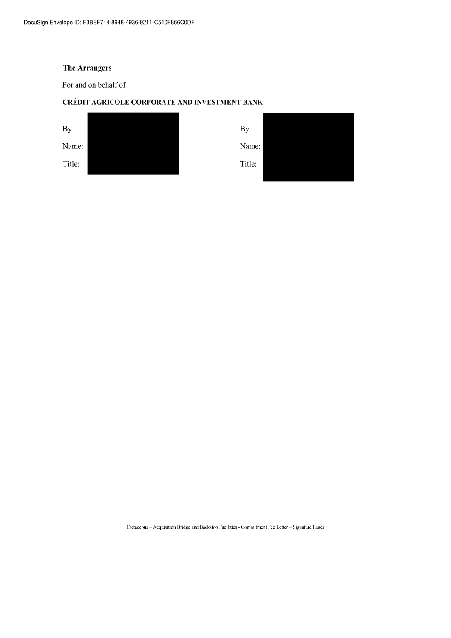For and on behalf of

## CRÉDIT AGRICOLE CORPORATE AND INVESTMENT BANK

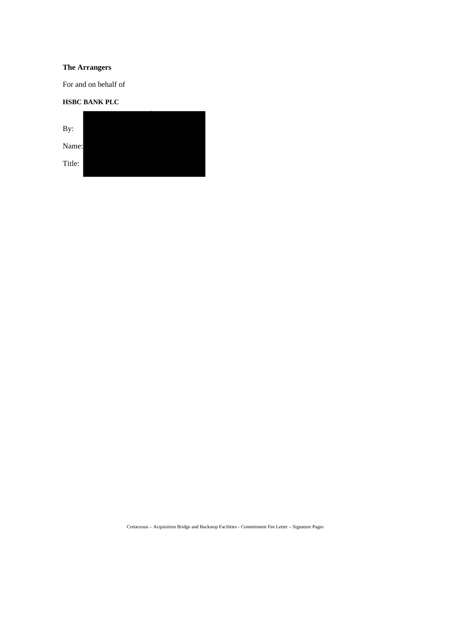For and on behalf of

## **HSBC BANK PLC**

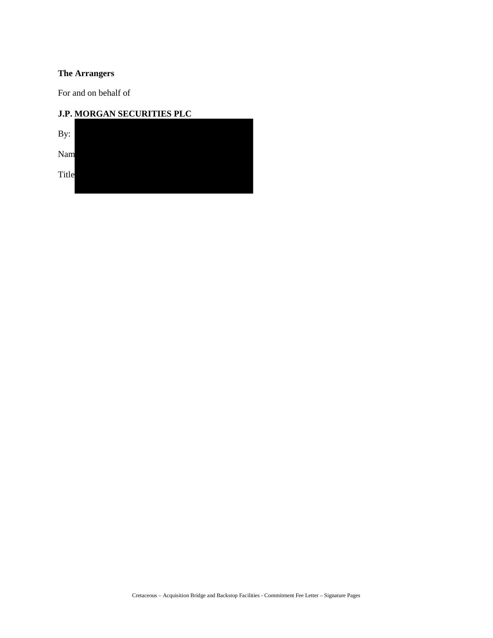For and on behalf of

| <b>J.P. MORGAN SECURITIES PLC</b> |  |  |  |  |  |  |  |  |
|-----------------------------------|--|--|--|--|--|--|--|--|
| By:                               |  |  |  |  |  |  |  |  |
| Nam                               |  |  |  |  |  |  |  |  |
| Title                             |  |  |  |  |  |  |  |  |
|                                   |  |  |  |  |  |  |  |  |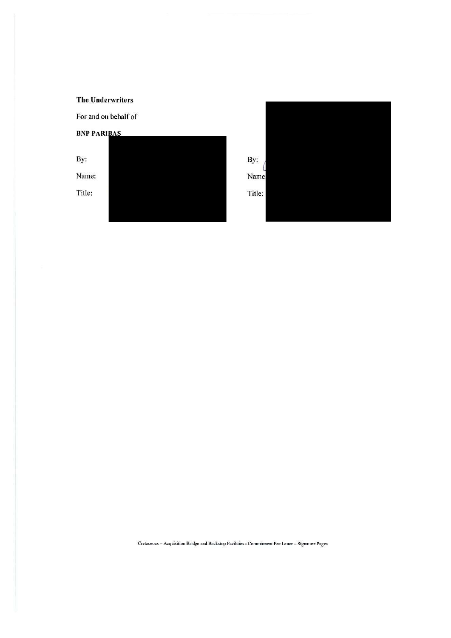For and on behalf of

**BNP PARIBAS** 

By: Name: Title:

By: Name Title: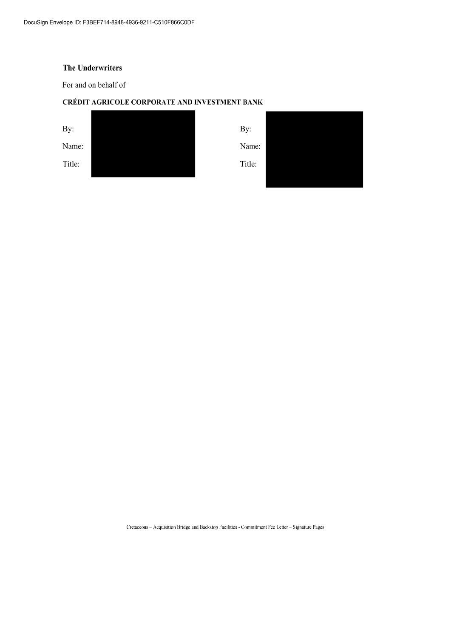For and on behalf of

## CRÉDIT AGRICOLE CORPORATE AND INVESTMENT BANK

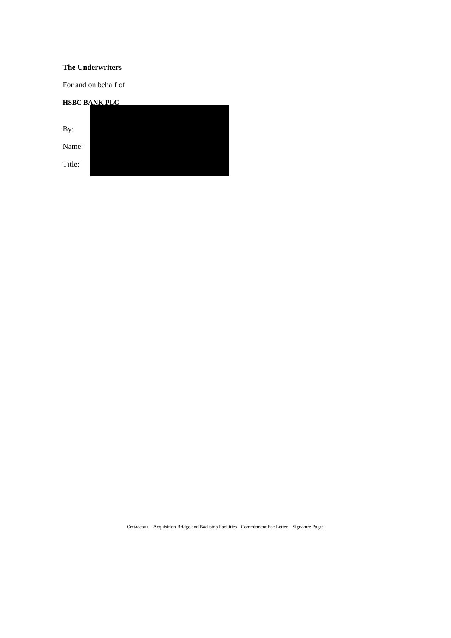For and on behalf of

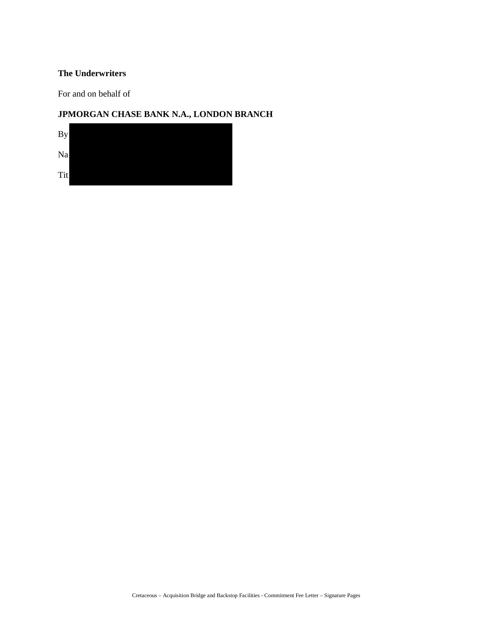For and on behalf of

## **JPMORGAN CHASE BANK N.A., LONDON BRANCH**

| By  |  |  |  |
|-----|--|--|--|
| Na  |  |  |  |
| Tit |  |  |  |